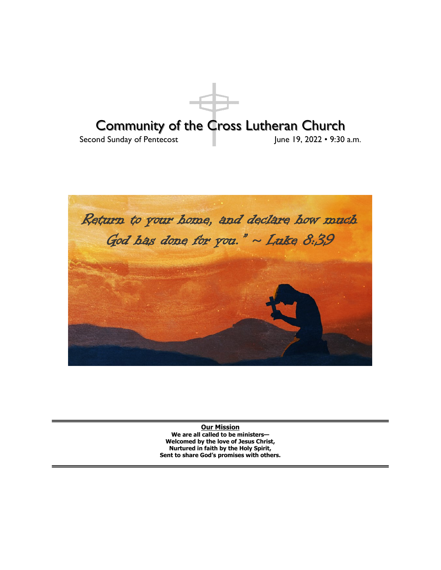



**Our Mission We are all called to be ministers— Welcomed by the love of Jesus Christ, Nurtured in faith by the Holy Spirit, Sent to share God's promises with others.**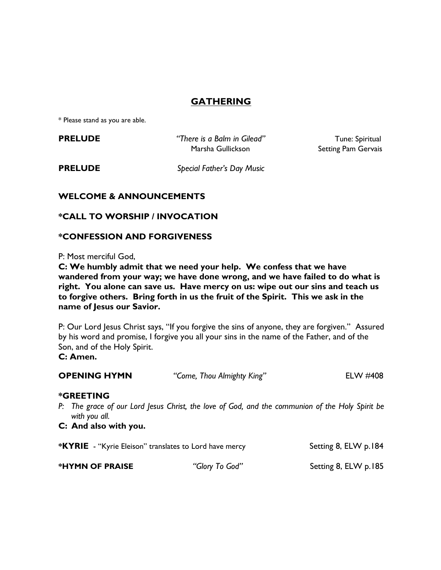# **GATHERING**

\* Please stand as you are able.

**PRELUDE** *There is a Balm in Gilead"* Tune: Spiritual Marsha Gullickson Setting Pam Gervais

**PRELUDE** *Special Father's Day Music* 

## **WELCOME & ANNOUNCEMENTS**

## **\*CALL TO WORSHIP / INVOCATION**

## **\*CONFESSION AND FORGIVENESS**

P: Most merciful God,

**C: We humbly admit that we need your help. We confess that we have wandered from your way; we have done wrong, and we have failed to do what is right. You alone can save us. Have mercy on us: wipe out our sins and teach us to forgive others. Bring forth in us the fruit of the Spirit. This we ask in the name of Jesus our Savior.**

P: Our Lord Jesus Christ says, "If you forgive the sins of anyone, they are forgiven." Assured by his word and promise, I forgive you all your sins in the name of the Father, and of the Son, and of the Holy Spirit. **C: Amen.**

**OPENING HYMN** *"Come, Thou Almighty King"* ELW #408 **\*GREETING**  *P: The grace of our Lord Jesus Christ, the love of God, and the communion of the Holy Spirit be with you all.* **C: And also with you. \*KYRIE** - "Kyrie Eleison" translates to Lord have mercy Setting 8, ELW p.184

| *HYMN OF PRAISE | "Glory To God" | Setting 8, ELW p.185 |
|-----------------|----------------|----------------------|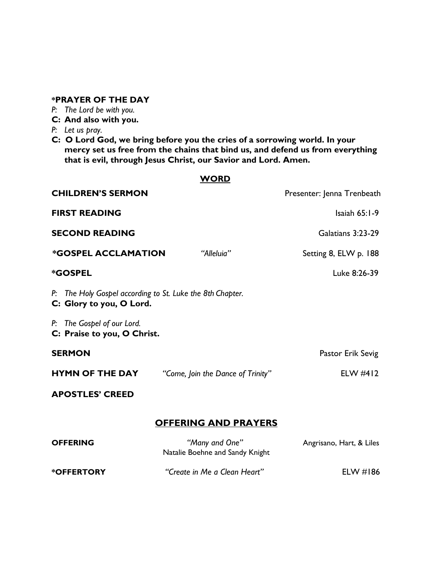## **\*PRAYER OF THE DAY**

- *P: The Lord be with you.*
- **C: And also with you.**
- *P: Let us pray.*
- **C: O Lord God, we bring before you the cries of a sorrowing world. In your mercy set us free from the chains that bind us, and defend us from everything that is evil, through Jesus Christ, our Savior and Lord. Amen.**

| <b>WORD</b>                                                                           |                                                   |                            |  |  |  |
|---------------------------------------------------------------------------------------|---------------------------------------------------|----------------------------|--|--|--|
| <b>CHILDREN'S SERMON</b>                                                              |                                                   | Presenter: Jenna Trenbeath |  |  |  |
| <b>FIRST READING</b>                                                                  |                                                   | Isaiah $65:1-9$            |  |  |  |
| <b>SECOND READING</b>                                                                 |                                                   | Galatians 3:23-29          |  |  |  |
| <b><i>*GOSPEL ACCLAMATION</i></b>                                                     | "Alleluia"                                        | Setting 8, ELW p. 188      |  |  |  |
| <b><i>*GOSPEL</i></b>                                                                 |                                                   | Luke 8:26-39               |  |  |  |
| P: The Holy Gospel according to St. Luke the 8th Chapter.<br>C: Glory to you, O Lord. |                                                   |                            |  |  |  |
| P: The Gospel of our Lord.<br>C: Praise to you, O Christ.                             |                                                   |                            |  |  |  |
| <b>SERMON</b>                                                                         |                                                   | Pastor Erik Sevig          |  |  |  |
| <b>HYMN OF THE DAY</b>                                                                | "Come, Join the Dance of Trinity"                 | ELW $#412$                 |  |  |  |
| <b>APOSTLES' CREED</b>                                                                |                                                   |                            |  |  |  |
| <b>OFFERING AND PRAYERS</b>                                                           |                                                   |                            |  |  |  |
| <b>OFFERING</b>                                                                       | "Many and One"<br>Natalie Boehne and Sandy Knight | Angrisano, Hart, & Liles   |  |  |  |
| <b>*OFFERTORY</b>                                                                     | "Create in Me a Clean Heart"                      | ELW #186                   |  |  |  |